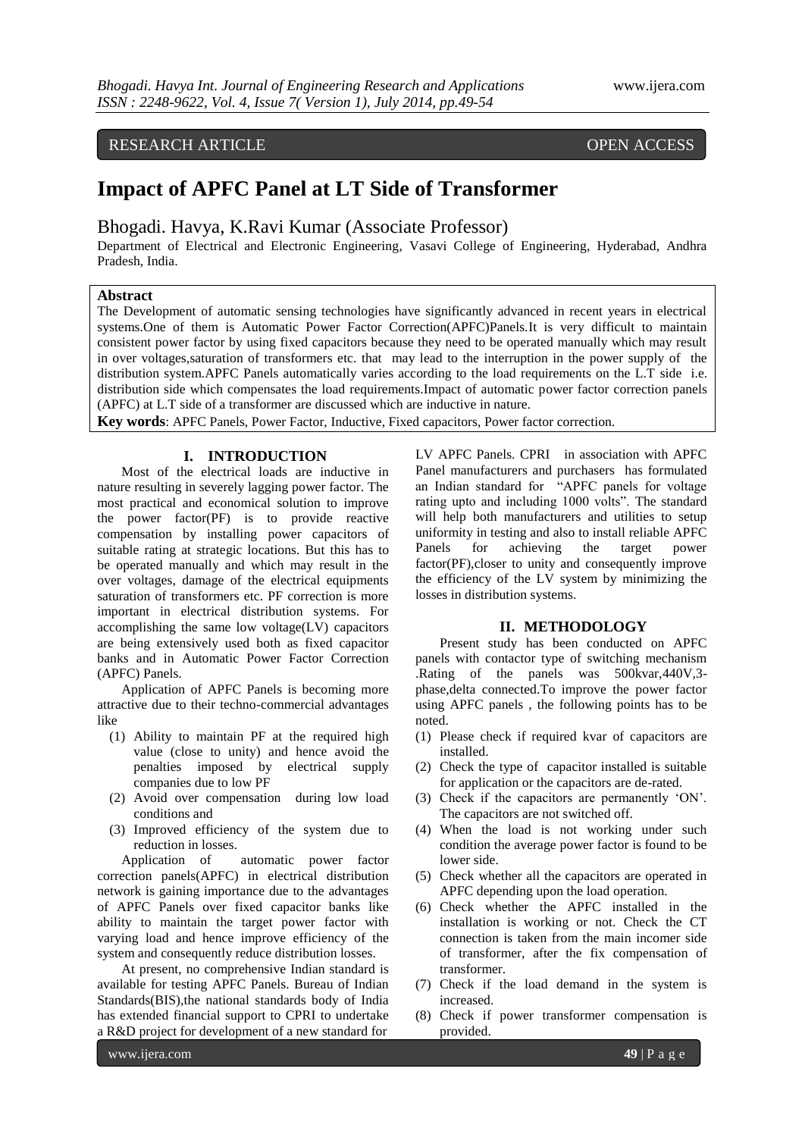# RESEARCH ARTICLE OPEN ACCESS

# **Impact of APFC Panel at LT Side of Transformer**

Bhogadi. Havya, K.Ravi Kumar (Associate Professor)

Department of Electrical and Electronic Engineering, Vasavi College of Engineering, Hyderabad, Andhra Pradesh, India.

#### **Abstract**

The Development of automatic sensing technologies have significantly advanced in recent years in electrical systems.One of them is Automatic Power Factor Correction(APFC)Panels.It is very difficult to maintain consistent power factor by using fixed capacitors because they need to be operated manually which may result in over voltages,saturation of transformers etc. that may lead to the interruption in the power supply of the distribution system.APFC Panels automatically varies according to the load requirements on the L.T side i.e. distribution side which compensates the load requirements.Impact of automatic power factor correction panels (APFC) at L.T side of a transformer are discussed which are inductive in nature.

**Key words**: APFC Panels, Power Factor, Inductive, Fixed capacitors, Power factor correction.

### **I. INTRODUCTION**

Most of the electrical loads are inductive in nature resulting in severely lagging power factor. The most practical and economical solution to improve the power factor(PF) is to provide reactive compensation by installing power capacitors of suitable rating at strategic locations. But this has to be operated manually and which may result in the over voltages, damage of the electrical equipments saturation of transformers etc. PF correction is more important in electrical distribution systems. For accomplishing the same low voltage(LV) capacitors are being extensively used both as fixed capacitor banks and in Automatic Power Factor Correction (APFC) Panels.

Application of APFC Panels is becoming more attractive due to their techno-commercial advantages like

- (1) Ability to maintain PF at the required high value (close to unity) and hence avoid the penalties imposed by electrical supply companies due to low PF
- (2) Avoid over compensation during low load conditions and
- (3) Improved efficiency of the system due to reduction in losses.

Application of automatic power factor correction panels(APFC) in electrical distribution network is gaining importance due to the advantages of APFC Panels over fixed capacitor banks like ability to maintain the target power factor with varying load and hence improve efficiency of the system and consequently reduce distribution losses.

At present, no comprehensive Indian standard is available for testing APFC Panels. Bureau of Indian Standards(BIS),the national standards body of India has extended financial support to CPRI to undertake a R&D project for development of a new standard for

LV APFC Panels. CPRI in association with APFC Panel manufacturers and purchasers has formulated an Indian standard for "APFC panels for voltage rating upto and including 1000 volts". The standard will help both manufacturers and utilities to setup uniformity in testing and also to install reliable APFC Panels for achieving the target power factor(PF),closer to unity and consequently improve the efficiency of the LV system by minimizing the losses in distribution systems.

#### **II. METHODOLOGY**

Present study has been conducted on APFC panels with contactor type of switching mechanism .Rating of the panels was 500kvar,440V,3 phase,delta connected.To improve the power factor using APFC panels , the following points has to be noted.

- (1) Please check if required kvar of capacitors are installed.
- (2) Check the type of capacitor installed is suitable for application or the capacitors are de-rated.
- (3) Check if the capacitors are permanently "ON". The capacitors are not switched off.
- (4) When the load is not working under such condition the average power factor is found to be lower side.
- (5) Check whether all the capacitors are operated in APFC depending upon the load operation.
- (6) Check whether the APFC installed in the installation is working or not. Check the CT connection is taken from the main incomer side of transformer, after the fix compensation of transformer.
- (7) Check if the load demand in the system is increased.
- (8) Check if power transformer compensation is provided.

www.ijera.com **49** | P a g e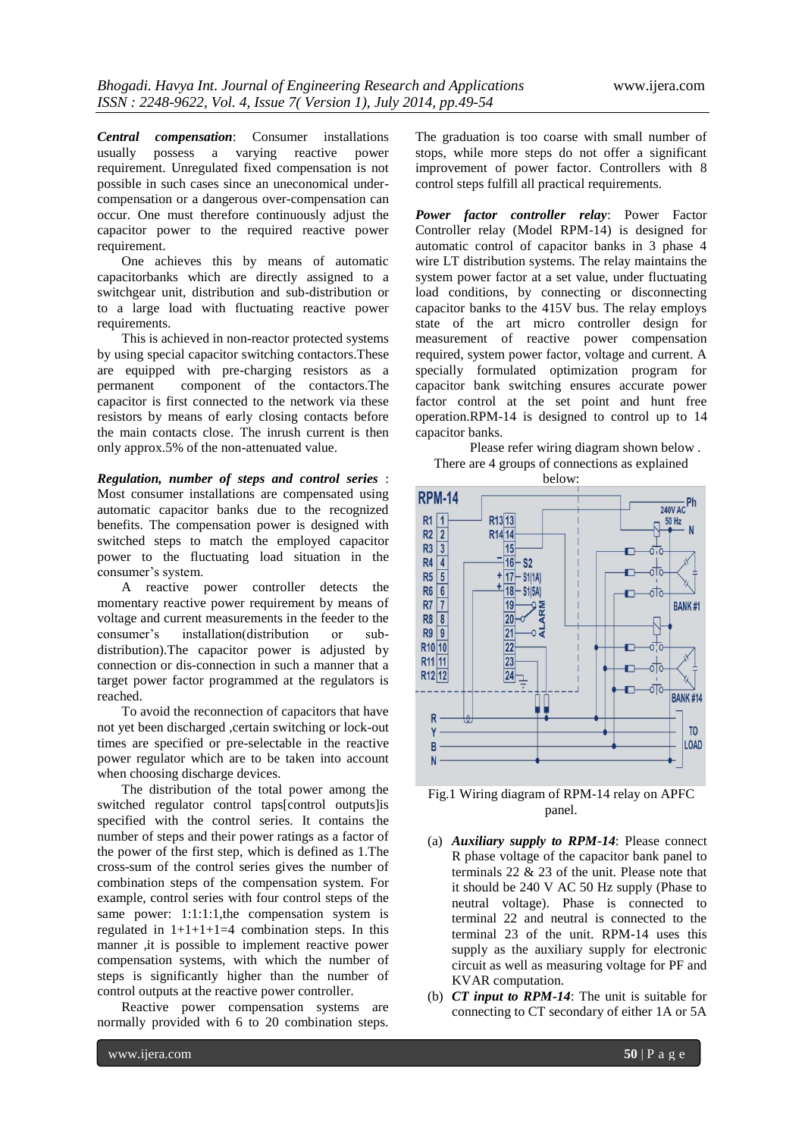*Central compensation*: Consumer installations usually possess a varying reactive power requirement. Unregulated fixed compensation is not possible in such cases since an uneconomical undercompensation or a dangerous over-compensation can occur. One must therefore continuously adjust the capacitor power to the required reactive power requirement.

One achieves this by means of automatic capacitorbanks which are directly assigned to a switchgear unit, distribution and sub-distribution or to a large load with fluctuating reactive power requirements.

This is achieved in non-reactor protected systems by using special capacitor switching contactors.These are equipped with pre-charging resistors as a permanent component of the contactors.The capacitor is first connected to the network via these resistors by means of early closing contacts before the main contacts close. The inrush current is then only approx.5% of the non-attenuated value.

*Regulation, number of steps and control series* : Most consumer installations are compensated using automatic capacitor banks due to the recognized benefits. The compensation power is designed with switched steps to match the employed capacitor power to the fluctuating load situation in the consumer's system.

A reactive power controller detects the momentary reactive power requirement by means of voltage and current measurements in the feeder to the consumer"s installation(distribution or subdistribution).The capacitor power is adjusted by connection or dis-connection in such a manner that a target power factor programmed at the regulators is reached.

To avoid the reconnection of capacitors that have not yet been discharged ,certain switching or lock-out times are specified or pre-selectable in the reactive power regulator which are to be taken into account when choosing discharge devices.

The distribution of the total power among the switched regulator control taps[control outputs]is specified with the control series. It contains the number of steps and their power ratings as a factor of the power of the first step, which is defined as 1.The cross-sum of the control series gives the number of combination steps of the compensation system. For example, control series with four control steps of the same power: 1:1:1:1, the compensation system is regulated in  $1+1+1+1=4$  combination steps. In this manner ,it is possible to implement reactive power compensation systems, with which the number of steps is significantly higher than the number of control outputs at the reactive power controller.

Reactive power compensation systems are normally provided with 6 to 20 combination steps.

The graduation is too coarse with small number of

*Power factor controller relay*: Power Factor Controller relay (Model RPM-14) is designed for automatic control of capacitor banks in 3 phase 4 wire LT distribution systems. The relay maintains the system power factor at a set value, under fluctuating load conditions, by connecting or disconnecting capacitor banks to the 415V bus. The relay employs state of the art micro controller design for measurement of reactive power compensation required, system power factor, voltage and current. A specially formulated optimization program for capacitor bank switching ensures accurate power factor control at the set point and hunt free operation.RPM-14 is designed to control up to 14 capacitor banks.

Please refer wiring diagram shown below . There are 4 groups of connections as explained





Fig.1 Wiring diagram of RPM-14 relay on APFC panel.

- (a) *Auxiliary supply to RPM-14*: Please connect R phase voltage of the capacitor bank panel to terminals 22 & 23 of the unit. Please note that it should be 240 V AC 50 Hz supply (Phase to neutral voltage). Phase is connected to terminal 22 and neutral is connected to the terminal 23 of the unit. RPM-14 uses this supply as the auxiliary supply for electronic circuit as well as measuring voltage for PF and KVAR computation.
- (b) *CT input to RPM-14*: The unit is suitable for connecting to CT secondary of either 1A or 5A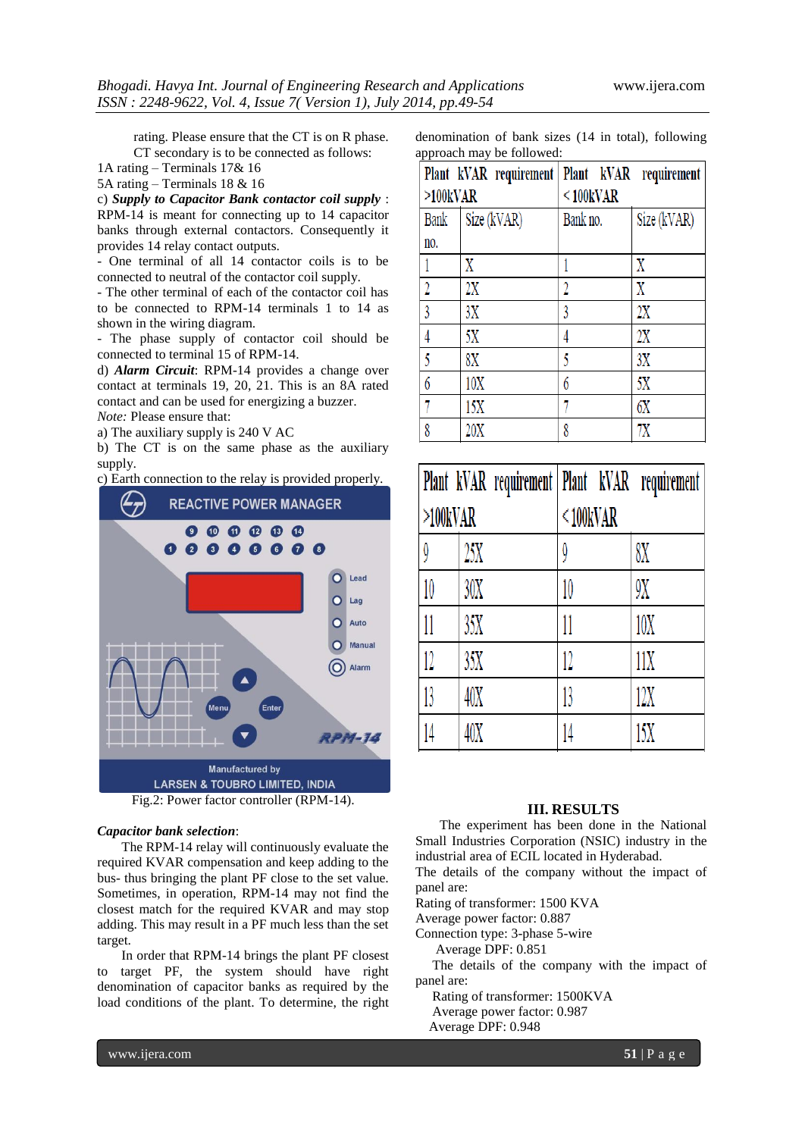rating. Please ensure that the CT is on R phase. CT secondary is to be connected as follows:

1A rating – Terminals 17& 16

5A rating – Terminals 18 & 16

c) *Supply to Capacitor Bank contactor coil supply* : RPM-14 is meant for connecting up to 14 capacitor banks through external contactors. Consequently it provides 14 relay contact outputs.

- One terminal of all 14 contactor coils is to be connected to neutral of the contactor coil supply.

- The other terminal of each of the contactor coil has to be connected to RPM-14 terminals 1 to 14 as shown in the wiring diagram.

- The phase supply of contactor coil should be connected to terminal 15 of RPM-14.

d) *Alarm Circuit*: RPM-14 provides a change over contact at terminals 19, 20, 21. This is an 8A rated contact and can be used for energizing a buzzer. *Note:* Please ensure that:

a) The auxiliary supply is 240 V AC

b) The CT is on the same phase as the auxiliary supply.

c) Earth connection to the relay is provided properly.



Fig.2: Power factor controller (RPM-14).

#### *Capacitor bank selection*:

The RPM-14 relay will continuously evaluate the required KVAR compensation and keep adding to the bus- thus bringing the plant PF close to the set value. Sometimes, in operation, RPM-14 may not find the closest match for the required KVAR and may stop adding. This may result in a PF much less than the set target.

In order that RPM-14 brings the plant PF closest to target PF, the system should have right denomination of capacitor banks as required by the load conditions of the plant. To determine, the right denomination of bank sizes (14 in total), following approach may be followed:

|                         | Plant kVAR requirement | Plant kVAR      | requirement |  |  |
|-------------------------|------------------------|-----------------|-------------|--|--|
| $>100$ <sub>k</sub> VAR |                        | $<$ 100 $k$ VAR |             |  |  |
| Bank                    | Size (kVAR)            | Bank no.        | Size (kVAR) |  |  |
| no.                     |                        |                 |             |  |  |
|                         | Χ                      |                 | Χ           |  |  |
| 2                       | 2X                     |                 | X           |  |  |
| 3                       | 3X                     | 3               | 2X          |  |  |
|                         | 5Χ                     | 4               | 2X          |  |  |
| 5                       | 8X                     | 5               | 3X          |  |  |
| 6                       | 10X                    | 6               | 5Χ          |  |  |
|                         | 15X                    |                 | 6X          |  |  |
| 8                       | 20X                    | 8               | 7Χ          |  |  |

|                         | Plant kVAR requirement   Plant kVAR requirement |                 |     |
|-------------------------|-------------------------------------------------|-----------------|-----|
| $>100$ <sub>K</sub> VAR |                                                 | $<$ 100 $k$ VAR |     |
| $\boldsymbol{\theta}$   | 25X                                             | Q               | 8Χ  |
| 10                      | 30X                                             | 10              | 9X  |
| 11                      | 35X                                             |                 | 10X |
| 12                      | 35X                                             | 12              | 11X |
| 13                      | 40X                                             | 13              | 12X |
|                         | 40X                                             |                 | 15X |

#### **III. RESULTS**

The experiment has been done in the National Small Industries Corporation (NSIC) industry in the industrial area of ECIL located in Hyderabad.

The details of the company without the impact of panel are:

Rating of transformer: 1500 KVA

Average power factor: 0.887

Connection type: 3-phase 5-wire

Average DPF: 0.851

 The details of the company with the impact of panel are:

 Rating of transformer: 1500KVA Average power factor: 0.987 Average DPF: 0.948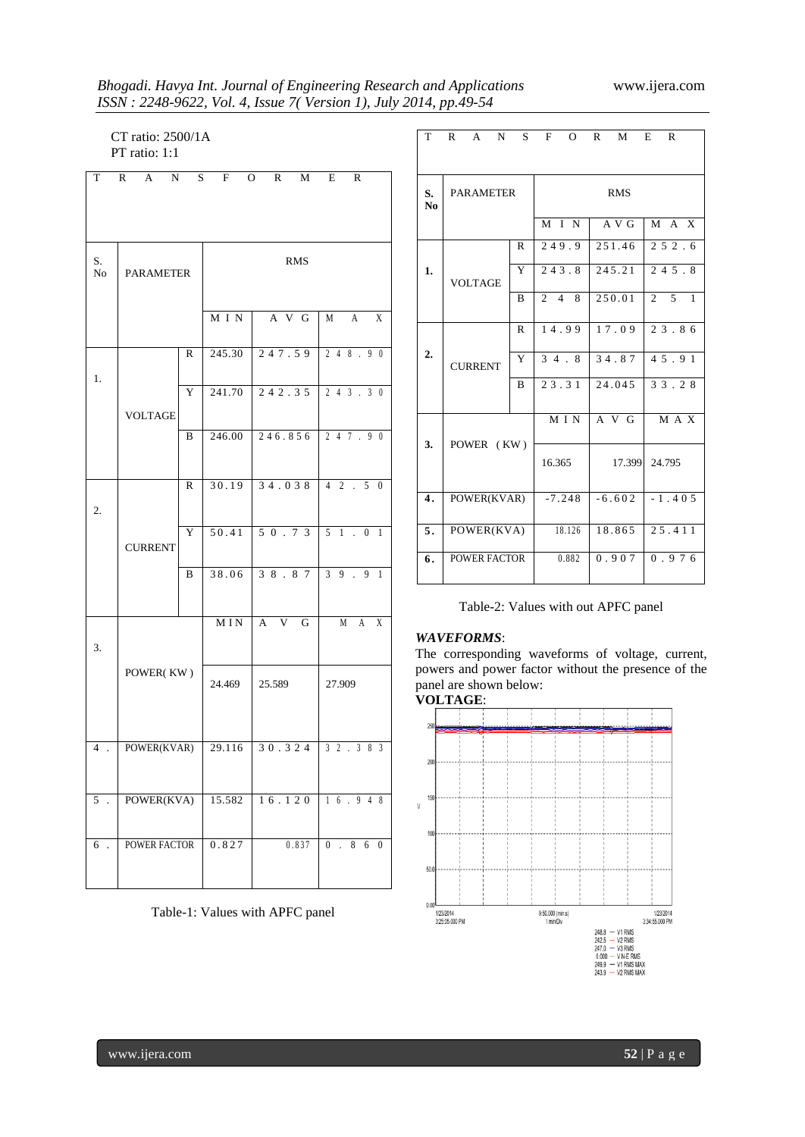## *Bhogadi. Havya Int. Journal of Engineering Research and Applications* www.ijera.com *ISSN : 2248-9622, Vol. 4, Issue 7( Version 1), July 2014, pp.49-54*

 CT ratio: 2500/1A PT ratio: 1:1

| $\rm T$                   | $\mathbf{A}$<br>$\mathbb{R}$<br>N | S | F          | O<br>R<br>M         | R<br>E                                                             |
|---------------------------|-----------------------------------|---|------------|---------------------|--------------------------------------------------------------------|
| S.<br>No                  | <b>PARAMETER</b>                  |   |            | <b>RMS</b>          |                                                                    |
|                           |                                   |   | M I N      | A V G               | M<br>X<br>A                                                        |
|                           |                                   | R | 245.30     | 247.59              | 248.90                                                             |
| 1.                        | <b>VOLTAGE</b>                    | Y | 241.70     | 242.35              | 3.30<br>24                                                         |
|                           |                                   | B | 246.00     | 246.856             | 247.90                                                             |
| 2.                        |                                   | R | 30.19      | 34.038              | $4\quad 2$<br>5<br>$\mathbb{R}^2$<br>$\theta$                      |
|                           | <b>CURRENT</b>                    | Y | 50.41      | 50.73               | $5 \quad 1 \quad .$<br>$\boldsymbol{0}$<br>1                       |
|                           |                                   | B | 38.06      | 38.87               | $\overline{3}$<br>9<br>9<br>$\mathbf{1}$<br>$\mathbb{R}^2$         |
| 3.                        | POWER(KW)                         |   | <b>MIN</b> | $A \quad V \quad G$ | X<br>M<br>A                                                        |
|                           |                                   |   | 24.469     | 25.589              | 27.909                                                             |
| $\overline{4}$            | POWER(KVAR)                       |   | 29.116     | 30.324              | $\overline{3}$<br>$\overline{2}$<br>3<br>8<br>$\overline{3}$<br>l. |
| 5<br>$\ddot{\phantom{a}}$ | POWER(KVA)                        |   | 15.582     | 16.120              | $1 \t6 \t9 \t4$<br>8                                               |
| 6<br>$\ddot{\phantom{a}}$ | <b>POWER FACTOR</b>               |   | 0.827      | 0.837               | 0.86<br>$\overline{0}$                                             |

Table-1: Values with APFC panel

| T                    | R                | $A \tN$        | S            | F           | $\Omega$ | $\mathsf{R}$ | M                 | E              | $\mathbb{R}$                  |
|----------------------|------------------|----------------|--------------|-------------|----------|--------------|-------------------|----------------|-------------------------------|
| S.<br>N <sub>0</sub> | <b>PARAMETER</b> |                |              |             |          | <b>RMS</b>   |                   |                |                               |
|                      |                  |                |              |             | M I N    |              | $\overline{AY}$ G |                | $M \overline{A} \overline{X}$ |
|                      |                  |                | $\mathbb{R}$ | 249.9       |          |              | 251.46            |                | 252.6                         |
| 1.                   |                  | <b>VOLTAGE</b> | Y            |             | 243.8    |              | 245.21            |                | 245.8                         |
|                      |                  |                | B            | $2 \quad 4$ | 8        |              | 250.01            | $\overline{2}$ | $\mathcal{F}$<br>$\mathbf{1}$ |
|                      |                  |                | $\mathbb{R}$ |             | 14.99    |              | 17.09             |                | 23.86                         |
| 2.                   | <b>CURRENT</b>   | Y              | 34.8         |             |          | 34.87        |                   | 45.91          |                               |
|                      |                  |                | B            | 23.31       |          |              | 24.045            |                | 33.28                         |
|                      | POWER (KW)       |                |              | M I N       |          | $A \vee G$   |                   | M A X          |                               |
| 3.                   |                  |                | 16.365       |             |          | 17.399       |                   | 24.795         |                               |
| $\overline{4}$ .     | POWER(KVAR)      |                |              | $-7.248$    |          | $-6.602$     |                   | $-1.405$       |                               |
| $\overline{5}$ .     | POWER(KVA)       |                |              | 18.126      |          | 18.865       |                   | 25.411         |                               |
| 6.                   | POWER FACTOR     |                |              | 0.882       |          | 0.907        |                   | 0.976          |                               |
|                      |                  |                |              |             |          |              |                   |                |                               |

|  | Table-2: Values with out APFC panel |  |  |  |  |  |
|--|-------------------------------------|--|--|--|--|--|
|--|-------------------------------------|--|--|--|--|--|

#### *WAVEFORMS*:

The corresponding waveforms of voltage, current, powers and power factor without the presence of the panel are shown below:

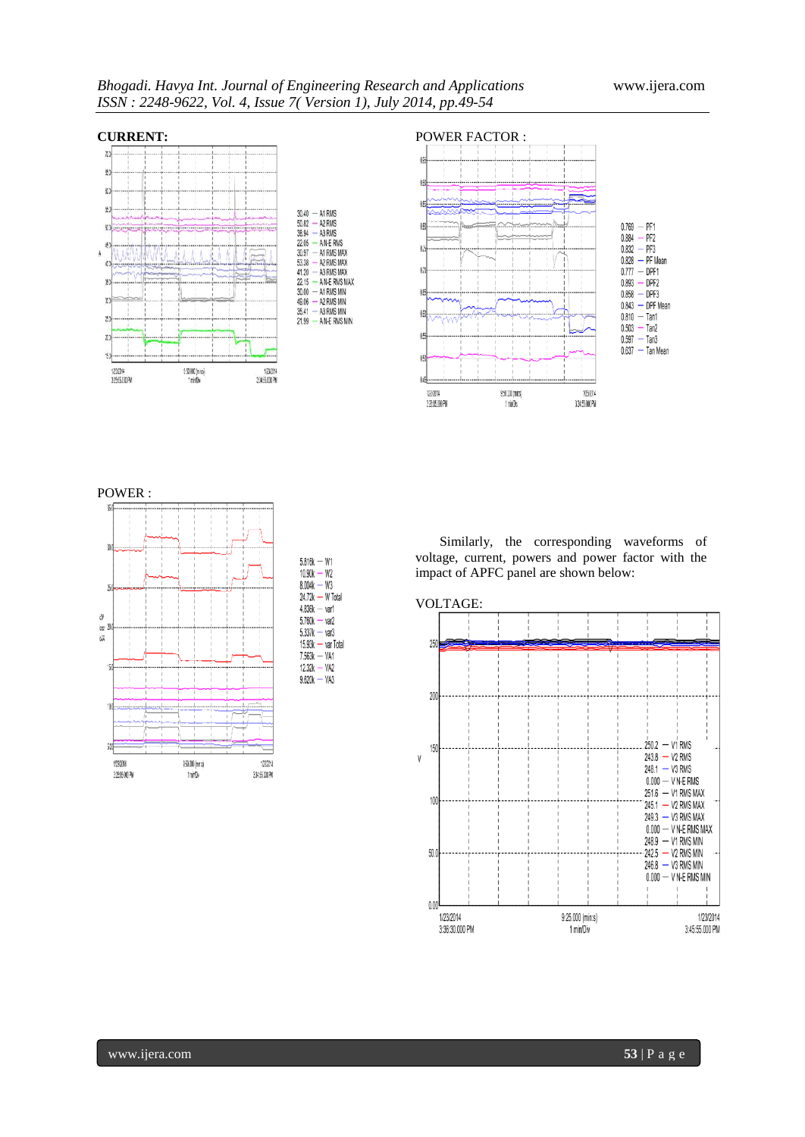A N-E RMS









| $5.816k - W1$        |  |
|----------------------|--|
| $10.90k - W2$        |  |
| $8.004k - W3$        |  |
| $24.72k - W$ Total   |  |
| $4.836k - v$ ar1     |  |
| $5.760k - var2$      |  |
| $5.337k - var3$      |  |
| $15.93k - var Total$ |  |
| $7.563k - VA1$       |  |
| $12.32k - VA2$       |  |
| $9620k - VA3$        |  |

Similarly, the corresponding waveforms of voltage, current, powers and power factor with the impact of APFC panel are shown below: